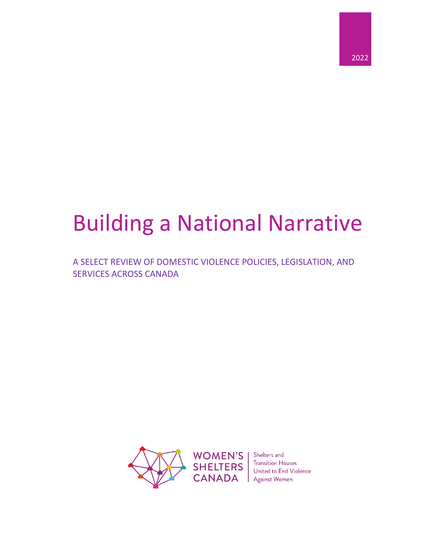

# Building a National Narrative

A SELECT REVIEW OF DOMESTIC VIOLENCE POLICIES, LEGISLATION, AND SERVICES ACROSS CANADA



**WOMEN'S CANADA** Against Women

Shelters and **SHELTERS** Transition Houses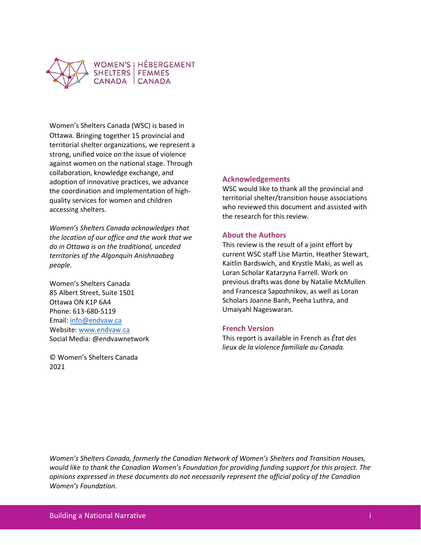

Women's Shelters Canada (WSC) is based in Ottawa. Bringing together 15 provincial and territorial shelter organizations, we represent a strong, unified voice on the issue of violence against women on the national stage. Through collaboration, knowledge exchange, and adoption of innovative practices, we advance the coordination and implementation of highquality services for women and children accessing shelters.

*Women's Shelters Canada acknowledges that the location of our office and the work that we do in Ottawa is on the traditional, unceded territories of the Algonquin Anishnaabeg people.* 

Women's Shelters Canada 85 Albert Street, Suite 1501 Ottawa ON K1P 6A4 Phone: 613-680-5119 Email: [info@endvaw.ca](mailto:info@endvaw.ca) Website[: www.endvaw.ca](http://www.endvaw.ca/) Social Media: @endvawnetwork

© Women's Shelters Canada 2021

#### **Acknowledgements**

WSC would like to thank all the provincial and territorial shelter/transition house associations who reviewed this document and assisted with the research for this review.

#### **About the Authors**

This review is the result of a joint effort by current WSC staff Lise Martin, Heather Stewart, Kaitlin Bardswich, and Krystle Maki, as well as Loran Scholar Katarzyna Farrell. Work on previous drafts was done by Natalie McMullen and Francesca Sapozhnikov, as well as Loran Scholars Joanne Banh, Peeha Luthra, and Umaiyahl Nageswaran.

#### **French Version**

This report is available in French as *État des lieux de la violence familiale au Canada.*

*Women's Shelters Canada, formerly the Canadian Network of Women's Shelters and Transition Houses, would like to thank the Canadian Women's Foundation for providing funding support for this project. The opinions expressed in these documents do not necessarily represent the official policy of the Canadian Women's Foundation.*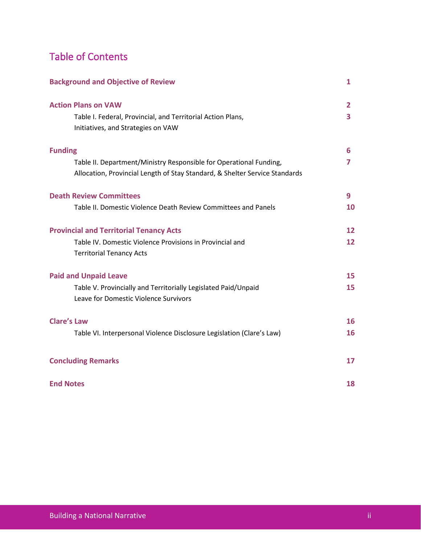# Table of Contents

| <b>Background and Objective of Review</b>                                                                                                         | $\mathbf{1}$ |
|---------------------------------------------------------------------------------------------------------------------------------------------------|--------------|
| <b>Action Plans on VAW</b>                                                                                                                        | 2            |
| Table I. Federal, Provincial, and Territorial Action Plans,<br>Initiatives, and Strategies on VAW                                                 | 3            |
| <b>Funding</b>                                                                                                                                    | 6            |
| Table II. Department/Ministry Responsible for Operational Funding,<br>Allocation, Provincial Length of Stay Standard, & Shelter Service Standards | 7            |
| <b>Death Review Committees</b>                                                                                                                    | 9            |
| Table II. Domestic Violence Death Review Committees and Panels                                                                                    | 10           |
| <b>Provincial and Territorial Tenancy Acts</b>                                                                                                    | 12           |
| Table IV. Domestic Violence Provisions in Provincial and<br><b>Territorial Tenancy Acts</b>                                                       | 12           |
| <b>Paid and Unpaid Leave</b>                                                                                                                      | 15           |
| Table V. Provincially and Territorially Legislated Paid/Unpaid<br>Leave for Domestic Violence Survivors                                           | 15           |
| <b>Clare's Law</b>                                                                                                                                | 16           |
| Table VI. Interpersonal Violence Disclosure Legislation (Clare's Law)                                                                             | 16           |
| <b>Concluding Remarks</b>                                                                                                                         | 17           |
| <b>End Notes</b>                                                                                                                                  | 18           |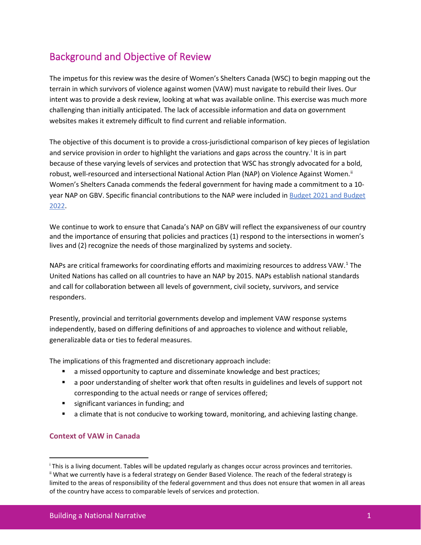## Background and Objective of Review

The impetus for this review was the desire of Women's Shelters Canada (WSC) to begin mapping out the terrain in which survivors of violence against women (VAW) must navigate to rebuild their lives. Our intent was to provide a desk review, looking at what was available online. This exercise was much more challenging than initially anticipated. The lack of accessible information and data on government websites makes it extremely difficult to find current and reliable information.

The objective of this document is to provide a cross-jurisdictional comparison of key pieces of legislation and serv[i](#page-3-0)ce provision in order to highlight the variations and gaps across the country.<sup>i</sup> It is in part because of these varying levels of services and protection that WSC has strongly advocated for a bold, robust, well-resourced and intersectional National Action Plan (NAP) on Violence Against Women.<sup>[ii](#page-3-1)</sup> Women's Shelters Canada commends the federal government for having made a commitment to a 10- year NAP on GBV. Specific financial contributions to the NAP were included in [Budget 2021](https://www.canada.ca/en/department-finance/news/2021/04/budget-2021-supporting-women.html) and Budget 2022.

We continue to work to ensure that Canada's NAP on GBV will reflect the expansiveness of our country and the importance of ensuring that policies and practices (1) respond to the intersections in women's lives and (2) recognize the needs of those marginalized by systems and society.

NAPs are critical frameworks for coordinating efforts and maximizing resources to address VAW.<sup>[1](#page-19-0)</sup> The United Nations has called on all countries to have an NAP by 2015. NAPs establish national standards and call for collaboration between all levels of government, civil society, survivors, and service responders.

Presently, provincial and territorial governments develop and implement VAW response systems independently, based on differing definitions of and approaches to violence and without reliable, generalizable data or ties to federal measures.

The implications of this fragmented and discretionary approach include:

- a missed opportunity to capture and disseminate knowledge and best practices;
- **EXT** a poor understanding of shelter work that often results in guidelines and levels of support not corresponding to the actual needs or range of services offered;
- significant variances in funding; and
- a climate that is not conducive to working toward, monitoring, and achieving lasting change.

#### **Context of VAW in Canada**

<span id="page-3-0"></span><sup>&</sup>lt;sup>i</sup> This is a living document. Tables will be updated regularly as changes occur across provinces and territories.<br>ii What we currently have is a federal strategy on Gender Based Violence. The reach of the federal strategy

<span id="page-3-1"></span>limited to the areas of responsibility of the federal government and thus does not ensure that women in all areas of the country have access to comparable levels of services and protection.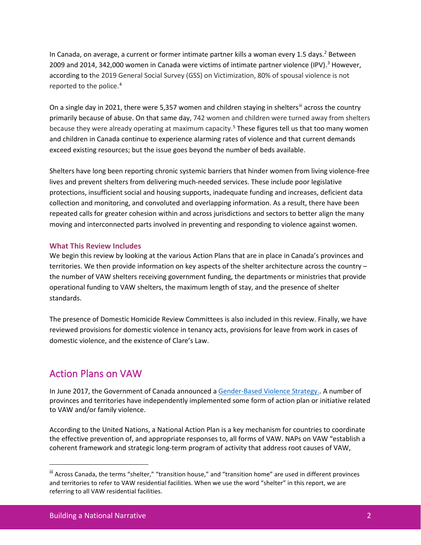In Canada, on average, a current or former intimate partner kills a woman every 1.5 days.<sup>[2](#page-20-0)</sup> Between 2009 and 2014, 342,000 women in Canada were victims of intimate partner violence (IPV).<sup>3</sup> However, according to the 2019 General Social Survey (GSS) on Victimization, 80% of spousal violence is not reported to the police.[4](#page-20-2)

On a single day in 2021, there were 5,357 women and children staying in shelters<sup>[iii](#page-4-0)</sup> across the country primarily because of abuse. On that same day, 742 women and children were turned away from shelters because they were already operating at maximum capacity.<sup>[5](#page-20-3)</sup> These figures tell us that too many women and children in Canada continue to experience alarming rates of violence and that current demands exceed existing resources; but the issue goes beyond the number of beds available.

Shelters have long been reporting chronic systemic barriers that hinder women from living violence-free lives and prevent shelters from delivering much-needed services. These include poor legislative protections, insufficient social and housing supports, inadequate funding and increases, deficient data collection and monitoring, and convoluted and overlapping information. As a result, there have been repeated calls for greater cohesion within and across jurisdictions and sectors to better align the many moving and interconnected parts involved in preventing and responding to violence against women.

### **What This Review Includes**

We begin this review by looking at the various Action Plans that are in place in Canada's provinces and territories. We then provide information on key aspects of the shelter architecture across the country – the number of VAW shelters receiving government funding, the departments or ministries that provide operational funding to VAW shelters, the maximum length of stay, and the presence of shelter standards.

The presence of Domestic Homicide Review Committees is also included in this review. Finally, we have reviewed provisions for domestic violence in tenancy acts, provisions for leave from work in cases of domestic violence, and the existence of Clare's Law.

### Action Plans on VAW

In June 2017, the Government of Canada announced a [Gender-Based Violence Strategy.](http://www.swc-cfc.gc.ca/violence/strategy-strategie/index-en.html). A number of provinces and territories have independently implemented some form of action plan or initiative related to VAW and/or family violence.

According to the United Nations, a National Action Plan is a key mechanism for countries to coordinate the effective prevention of, and appropriate responses to, all forms of VAW. NAPs on VAW "establish a coherent framework and strategic long-term program of activity that address root causes of VAW,

<span id="page-4-0"></span>iii Across Canada, the terms "shelter," "transition house," and "transition home" are used in different provinces and territories to refer to VAW residential facilities. When we use the word "shelter" in this report, we are referring to all VAW residential facilities.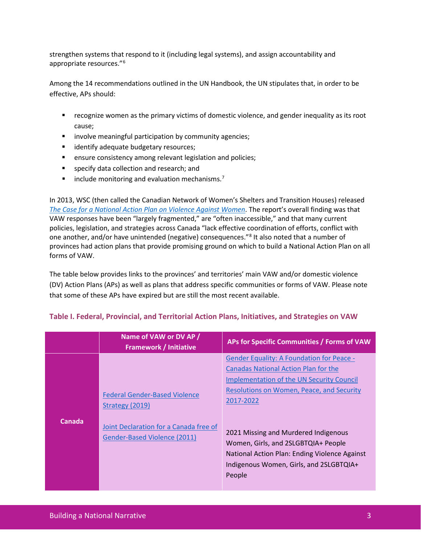strengthen systems that respond to it (including legal systems), and assign accountability and appropriate resources."[6](#page-20-4)

Among the 14 recommendations outlined in the UN Handbook, the UN stipulates that, in order to be effective, APs should:

- recognize women as the primary victims of domestic violence, and gender inequality as its root cause;
- **EXEDENTIFY involve meaningful participation by community agencies;**
- **If** identify adequate budgetary resources;
- **EXECT** ensure consistency among relevant legislation and policies;
- **specify data collection and research; and**
- $\blacksquare$  include monitoring and evaluation mechanisms.<sup>[7](#page-20-5)</sup>

In 2013, WSC (then called the Canadian Network of Women's Shelters and Transition Houses) released *[The Case for a National Action Plan on Violence Against Women](http://endvaw.ca/our-work/the-case-for-a-national-action-plan-on-violence-against-women-and-girls/)*. The report's overall finding was that VAW responses have been "largely fragmented," are "often inaccessible," and that many current policies, legislation, and strategies across Canada "lack effective coordination of efforts, conflict with one another, and/or have unintended (negative) consequences."<sup>[8](#page-20-6)</sup> It also noted that a number of provinces had action plans that provide promising ground on which to build a National Action Plan on all forms of VAW.

The table below provides links to the provinces' and territories' main VAW and/or domestic violence (DV) Action Plans (APs) as well as plans that address specific communities or forms of VAW. Please note that some of these APs have expired but are still the most recent available.

|               | Name of VAW or DV AP /<br><b>Framework / Initiative</b>                                                                           | APs for Specific Communities / Forms of VAW                                                                                                                                                                                                                                                                                                                                                        |
|---------------|-----------------------------------------------------------------------------------------------------------------------------------|----------------------------------------------------------------------------------------------------------------------------------------------------------------------------------------------------------------------------------------------------------------------------------------------------------------------------------------------------------------------------------------------------|
| <b>Canada</b> | <b>Federal Gender-Based Violence</b><br>Strategy (2019)<br>Joint Declaration for a Canada free of<br>Gender-Based Violence (2011) | <b>Gender Equality: A Foundation for Peace -</b><br><b>Canadas National Action Plan for the</b><br><b>Implementation of the UN Security Council</b><br>Resolutions on Women, Peace, and Security<br>2017-2022<br>2021 Missing and Murdered Indigenous<br>Women, Girls, and 2SLGBTQIA+ People<br>National Action Plan: Ending Violence Against<br>Indigenous Women, Girls, and 2SLGBTQIA+<br>People |

### **Table I. Federal, Provincial, and Territorial Action Plans, Initiatives, and Strategies on VAW**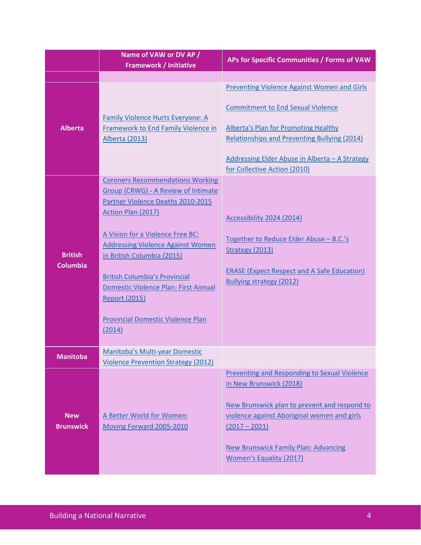|                                   | Name of VAW or DV AP /<br><b>Framework / Initiative</b>                                                                                                                                                                                                                                                                                                                                                                             | APs for Specific Communities / Forms of VAW                                                                                                                                                                                                                                |
|-----------------------------------|-------------------------------------------------------------------------------------------------------------------------------------------------------------------------------------------------------------------------------------------------------------------------------------------------------------------------------------------------------------------------------------------------------------------------------------|----------------------------------------------------------------------------------------------------------------------------------------------------------------------------------------------------------------------------------------------------------------------------|
|                                   |                                                                                                                                                                                                                                                                                                                                                                                                                                     |                                                                                                                                                                                                                                                                            |
| <b>Alberta</b>                    | <b>Family Violence Hurts Everyone: A</b><br><b>Framework to End Family Violence in</b><br><b>Alberta (2013)</b>                                                                                                                                                                                                                                                                                                                     | Preventing Violence Against Women and Girls<br><b>Commitment to End Sexual Violence</b><br><b>Alberta's Plan for Promoting Healthy</b><br>Relationships and Preventing Bullying (2014)<br>Addressing Elder Abuse in Alberta - A Strategy<br>for Collective Action (2010)   |
| <b>British</b><br><b>Columbia</b> | <b>Coroners Recommendations Working</b><br>Group (CRWG) - A Review of Intimate<br>Partner Violence Deaths 2010-2015<br><b>Action Plan (2017)</b><br>A Vision for a Violence Free BC:<br><b>Addressing Violence Against Women</b><br>in British Columbia (2015)<br><b>British Columbia's Provincial</b><br><b>Domestic Violence Plan: First Annual</b><br><b>Report (2015)</b><br><b>Provincial Domestic Violence Plan</b><br>(2014) | Accessibility 2024 (2014)<br>Together to Reduce Elder Abuse - B.C.'s<br>Strategy (2013)<br><b>ERASE (Expect Respect and A Safe Education)</b><br><b>Bullying strategy (2012)</b>                                                                                           |
| <b>Manitoba</b>                   | Manitoba's Multi-year Domestic<br><b>Violence Prevention Strategy (2012)</b>                                                                                                                                                                                                                                                                                                                                                        |                                                                                                                                                                                                                                                                            |
| <b>New</b><br><b>Brunswick</b>    | A Better World for Women:<br>Moving Forward 2005-2010                                                                                                                                                                                                                                                                                                                                                                               | Preventing and Responding to Sexual Violence<br>in New Brunswick (2018)<br>New Brunswick plan to prevent and respond to<br>violence against Aboriginal women and girls<br>$(2017 - 2021)$<br><b>New Brunswick Family Plan: Advancing</b><br><b>Women's Equality (2017)</b> |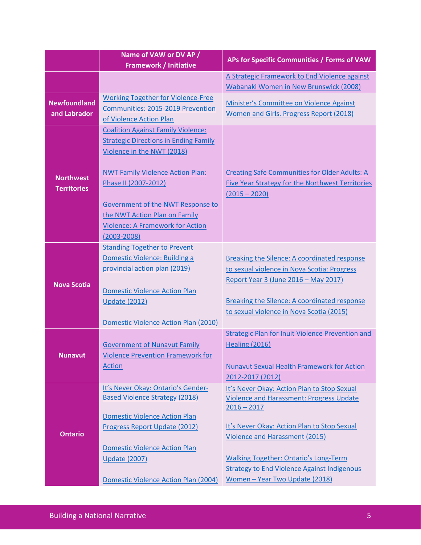|                                        | Name of VAW or DV AP /<br><b>Framework / Initiative</b>                                                                                                                                                                                                                                                                        | APs for Specific Communities / Forms of VAW                                                                                                                                                                                                                                                                                              |
|----------------------------------------|--------------------------------------------------------------------------------------------------------------------------------------------------------------------------------------------------------------------------------------------------------------------------------------------------------------------------------|------------------------------------------------------------------------------------------------------------------------------------------------------------------------------------------------------------------------------------------------------------------------------------------------------------------------------------------|
|                                        |                                                                                                                                                                                                                                                                                                                                | A Strategic Framework to End Violence against                                                                                                                                                                                                                                                                                            |
|                                        |                                                                                                                                                                                                                                                                                                                                | Wabanaki Women in New Brunswick (2008)                                                                                                                                                                                                                                                                                                   |
| <b>Newfoundland</b><br>and Labrador    | <b>Working Together for Violence-Free</b><br>Communities: 2015-2019 Prevention<br>of Violence Action Plan                                                                                                                                                                                                                      | Minister's Committee on Violence Against<br>Women and Girls. Progress Report (2018)                                                                                                                                                                                                                                                      |
| <b>Northwest</b><br><b>Territories</b> | <b>Coalition Against Family Violence:</b><br><b>Strategic Directions in Ending Family</b><br>Violence in the NWT (2018)<br><b>NWT Family Violence Action Plan:</b><br>Phase II (2007-2012)<br>Government of the NWT Response to<br>the NWT Action Plan on Family<br><b>Violence: A Framework for Action</b><br>$(2003 - 2008)$ | <b>Creating Safe Communities for Older Adults: A</b><br>Five Year Strategy for the Northwest Territories<br>$(2015 - 2020)$                                                                                                                                                                                                              |
| <b>Nova Scotia</b>                     | <b>Standing Together to Prevent</b><br>Domestic Violence: Building a<br>provincial action plan (2019)<br><b>Domestic Violence Action Plan</b><br><b>Update (2012)</b><br>Domestic Violence Action Plan (2010)                                                                                                                  | <b>Breaking the Silence: A coordinated response</b><br>to sexual violence in Nova Scotia: Progress<br>Report Year 3 (June 2016 - May 2017)<br>Breaking the Silence: A coordinated response<br>to sexual violence in Nova Scotia (2015)                                                                                                   |
| <b>Nunavut</b>                         | <b>Government of Nunavut Family</b><br><b>Violence Prevention Framework for</b><br><b>Action</b>                                                                                                                                                                                                                               | <b>Strategic Plan for Inuit Violence Prevention and</b><br><b>Healing (2016)</b><br><b>Nunavut Sexual Health Framework for Action</b><br>2012-2017 (2012)                                                                                                                                                                                |
| <b>Ontario</b>                         | It's Never Okay: Ontario's Gender-<br><b>Based Violence Strategy (2018)</b><br><b>Domestic Violence Action Plan</b><br>Progress Report Update (2012)<br><b>Domestic Violence Action Plan</b><br><b>Update (2007)</b><br>Domestic Violence Action Plan (2004)                                                                   | It's Never Okay: Action Plan to Stop Sexual<br><b>Violence and Harassment: Progress Update</b><br>$2016 - 2017$<br>It's Never Okay: Action Plan to Stop Sexual<br>Violence and Harassment (2015)<br><b>Walking Together: Ontario's Long-Term</b><br><b>Strategy to End Violence Against Indigenous</b><br>Women - Year Two Update (2018) |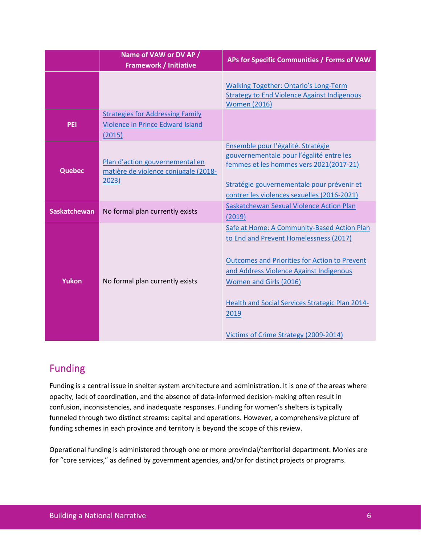|                     | Name of VAW or DV AP /<br><b>Framework / Initiative</b>                               | APs for Specific Communities / Forms of VAW                                                                                                                                                                                                                                                                            |
|---------------------|---------------------------------------------------------------------------------------|------------------------------------------------------------------------------------------------------------------------------------------------------------------------------------------------------------------------------------------------------------------------------------------------------------------------|
|                     |                                                                                       | <b>Walking Together: Ontario's Long-Term</b><br><b>Strategy to End Violence Against Indigenous</b><br><b>Women (2016)</b>                                                                                                                                                                                              |
| <b>PEI</b>          | <b>Strategies for Addressing Family</b><br>Violence in Prince Edward Island<br>(2015) |                                                                                                                                                                                                                                                                                                                        |
| <b>Quebec</b>       | Plan d'action gouvernemental en<br>matière de violence conjugale (2018-<br>2023)      | Ensemble pour l'égalité. Stratégie<br>gouvernementale pour l'égalité entre les<br>femmes et les hommes vers 2021(2017-21)<br>Stratégie gouvernementale pour prévenir et<br>contrer les violences sexuelles (2016-2021)                                                                                                 |
| <b>Saskatchewan</b> | No formal plan currently exists                                                       | Saskatchewan Sexual Violence Action Plan<br>(2019)                                                                                                                                                                                                                                                                     |
| <b>Yukon</b>        | No formal plan currently exists                                                       | Safe at Home: A Community-Based Action Plan<br>to End and Prevent Homelessness (2017)<br><b>Outcomes and Priorities for Action to Prevent</b><br>and Address Violence Against Indigenous<br>Women and Girls (2016)<br>Health and Social Services Strategic Plan 2014-<br>2019<br>Victims of Crime Strategy (2009-2014) |

# Funding

Funding is a central issue in shelter system architecture and administration. It is one of the areas where opacity, lack of coordination, and the absence of data-informed decision-making often result in confusion, inconsistencies, and inadequate responses. Funding for women's shelters is typically funneled through two distinct streams: capital and operations. However, a comprehensive picture of funding schemes in each province and territory is beyond the scope of this review.

Operational funding is administered through one or more provincial/territorial department. Monies are for "core services," as defined by government agencies, and/or for distinct projects or programs.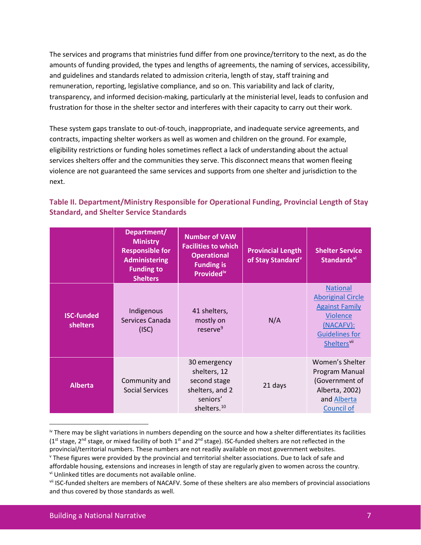The services and programs that ministries fund differ from one province/territory to the next, as do the amounts of funding provided, the types and lengths of agreements, the naming of services, accessibility, and guidelines and standards related to admission criteria, length of stay, staff training and remuneration, reporting, legislative compliance, and so on. This variability and lack of clarity, transparency, and informed decision-making, particularly at the ministerial level, leads to confusion and frustration for those in the shelter sector and interferes with their capacity to carry out their work.

These system gaps translate to out-of-touch, inappropriate, and inadequate service agreements, and contracts, impacting shelter workers as well as women and children on the ground. For example, eligibility restrictions or funding holes sometimes reflect a lack of understanding about the actual services shelters offer and the communities they serve. This disconnect means that women fleeing violence are not guaranteed the same services and supports from one shelter and jurisdiction to the next.

### **Table II. Department/Ministry Responsible for Operational Funding, Provincial Length of Stay Standard, and Shelter Service Standards**

|                                      | Department/<br><b>Ministry</b><br><b>Responsible for</b><br><b>Administering</b><br><b>Funding to</b><br><b>Shelters</b> | <b>Number of VAW</b><br><b>Facilities to which</b><br><b>Operational</b><br><b>Funding is</b><br>Provided <sup>iv</sup> | <b>Provincial Length</b><br>of Stay Standard <sup>v</sup> | <b>Shelter Service</b><br>Standards <sup>vi</sup>                                                                                                    |
|--------------------------------------|--------------------------------------------------------------------------------------------------------------------------|-------------------------------------------------------------------------------------------------------------------------|-----------------------------------------------------------|------------------------------------------------------------------------------------------------------------------------------------------------------|
| <b>ISC-funded</b><br><b>shelters</b> | Indigenous<br>Services Canada<br>(ISC)                                                                                   | 41 shelters,<br>mostly on<br>reserve <sup>9</sup>                                                                       | N/A                                                       | <b>National</b><br><b>Aboriginal Circle</b><br><b>Against Family</b><br><b>Violence</b><br>(NACAFV):<br><b>Guidelines for</b><br><b>Sheltersvill</b> |
| <b>Alberta</b>                       | Community and<br><b>Social Services</b>                                                                                  | 30 emergency<br>shelters, 12<br>second stage<br>shelters, and 2<br>seniors'<br>shelters. <sup>10</sup>                  | 21 days                                                   | Women's Shelter<br>Program Manual<br>(Government of<br>Alberta, 2002)<br>and Alberta<br><b>Council of</b>                                            |

<span id="page-9-0"></span>iv There may be slight variations in numbers depending on the source and how a shelter differentiates its facilities  $(1<sup>st</sup> stage, 2<sup>nd</sup> stage, or mixed facility of both  $1<sup>st</sup>$  and  $2<sup>nd</sup>$  stage). ISC-fundred shelves are not reflected in the$ provincial/territorial numbers. These numbers are not readily available on most government websites.

<span id="page-9-1"></span><sup>v</sup> These figures were provided by the provincial and territorial shelter associations. Due to lack of safe and affordable housing, extensions and increases in length of stay are regularly given to women across the country. vi Unlinked titles are documents not available online.

<span id="page-9-3"></span><span id="page-9-2"></span>vii ISC-funded shelters are members of NACAFV. Some of these shelters are also members of provincial associations and thus covered by those standards as well.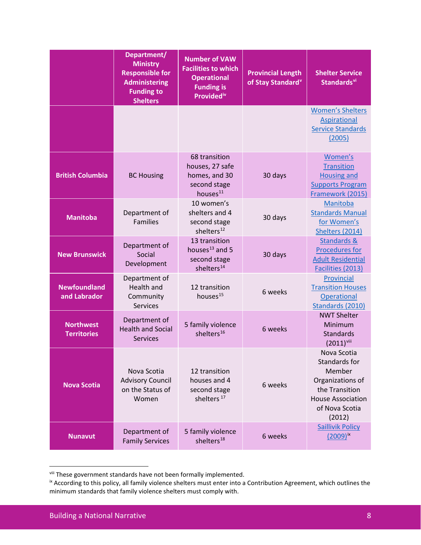|                                        | Department/<br><b>Ministry</b><br><b>Responsible for</b><br><b>Administering</b><br><b>Funding to</b><br><b>Shelters</b> | <b>Number of VAW</b><br><b>Facilities to which</b><br><b>Operational</b><br><b>Funding is</b><br><b>Providediv</b> | <b>Provincial Length</b><br>of Stay Standard <sup>v</sup> | <b>Shelter Service</b><br>Standards <sup>vi</sup>                                                                                    |
|----------------------------------------|--------------------------------------------------------------------------------------------------------------------------|--------------------------------------------------------------------------------------------------------------------|-----------------------------------------------------------|--------------------------------------------------------------------------------------------------------------------------------------|
|                                        |                                                                                                                          |                                                                                                                    |                                                           | <b>Women's Shelters</b><br>Aspirational<br><b>Service Standards</b><br>(2005)                                                        |
| <b>British Columbia</b>                | <b>BC Housing</b>                                                                                                        | 68 transition<br>houses, 27 safe<br>homes, and 30<br>second stage<br>houses <sup>11</sup>                          | 30 days                                                   | Women's<br><b>Transition</b><br><b>Housing and</b><br><b>Supports Program</b><br>Framework (2015)                                    |
| <b>Manitoba</b>                        | Department of<br><b>Families</b>                                                                                         | 10 women's<br>shelters and 4<br>second stage<br>shelters <sup>12</sup>                                             | 30 days                                                   | Manitoba<br><b>Standards Manual</b><br>for Women's<br>Shelters (2014)                                                                |
| <b>New Brunswick</b>                   | Department of<br>Social<br>Development                                                                                   | 13 transition<br>houses <sup>13</sup> and 5<br>second stage<br>shelters <sup>14</sup>                              | 30 days                                                   | Standards &<br><b>Procedures for</b><br><b>Adult Residential</b><br>Facilities (2013)                                                |
| <b>Newfoundland</b><br>and Labrador    | Department of<br>Health and<br>Community<br>Services                                                                     | 12 transition<br>houses <sup>15</sup>                                                                              | 6 weeks                                                   | Provincial<br><b>Transition Houses</b><br>Operational<br>Standards (2010)                                                            |
| <b>Northwest</b><br><b>Territories</b> | Department of<br><b>Health and Social</b><br><b>Services</b>                                                             | 5 family violence<br>shelters <sup>16</sup>                                                                        | 6 weeks                                                   | <b>NWT Shelter</b><br>Minimum<br><b>Standards</b><br>$(2011)^{viii}$                                                                 |
| <b>Nova Scotia</b>                     | Nova Scotia<br><b>Advisory Council</b><br>on the Status of<br>Women                                                      | 12 transition<br>houses and 4<br>second stage<br>shelters <sup>17</sup>                                            | 6 weeks                                                   | Nova Scotia<br>Standards for<br>Member<br>Organizations of<br>the Transition<br><b>House Association</b><br>of Nova Scotia<br>(2012) |
| <b>Nunavut</b>                         | Department of<br><b>Family Services</b>                                                                                  | 5 family violence<br>shelters <sup>18</sup>                                                                        | 6 weeks                                                   | <b>Saillivik Policy</b><br>$(2009)^{ix}$                                                                                             |

<span id="page-10-0"></span>viii These government standards have not been formally implemented.

<span id="page-10-1"></span><sup>&</sup>lt;sup>ix</sup> According to this policy, all family violence shelters must enter into a Contribution Agreement, which outlines the minimum standards that family violence shelters must comply with.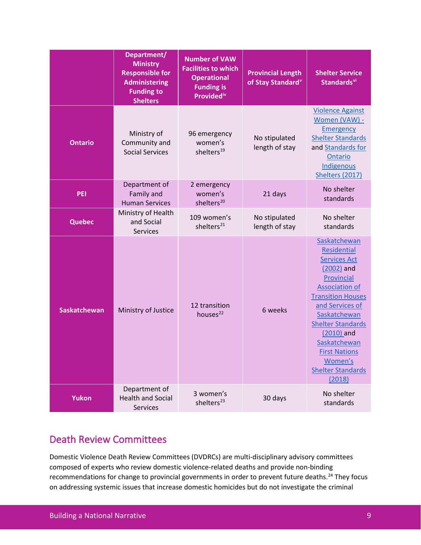|                     | Department/<br><b>Ministry</b><br><b>Responsible for</b><br><b>Administering</b><br><b>Funding to</b><br><b>Shelters</b> | <b>Number of VAW</b><br><b>Facilities to which</b><br><b>Operational</b><br><b>Funding is</b><br><b>Providediv</b> | <b>Provincial Length</b><br>of Stay Standard <sup>v</sup> | <b>Shelter Service</b><br>Standards <sup>vi</sup>                                                                                                                                                                                                                                                                |
|---------------------|--------------------------------------------------------------------------------------------------------------------------|--------------------------------------------------------------------------------------------------------------------|-----------------------------------------------------------|------------------------------------------------------------------------------------------------------------------------------------------------------------------------------------------------------------------------------------------------------------------------------------------------------------------|
| <b>Ontario</b>      | Ministry of<br>Community and<br><b>Social Services</b>                                                                   | 96 emergency<br>women's<br>shelters <sup>19</sup>                                                                  | No stipulated<br>length of stay                           | <b>Violence Against</b><br>Women (VAW) -<br><b>Emergency</b><br><b>Shelter Standards</b><br>and Standards for<br>Ontario<br>Indigenous<br>Shelters (2017)                                                                                                                                                        |
| <b>PEI</b>          | Department of<br>Family and<br><b>Human Services</b>                                                                     | 2 emergency<br>women's<br>shelters <sup>20</sup>                                                                   | 21 days                                                   | No shelter<br>standards                                                                                                                                                                                                                                                                                          |
| <b>Quebec</b>       | Ministry of Health<br>and Social<br><b>Services</b>                                                                      | 109 women's<br>shelters <sup>21</sup>                                                                              | No stipulated<br>length of stay                           | No shelter<br>standards                                                                                                                                                                                                                                                                                          |
| <b>Saskatchewan</b> | Ministry of Justice                                                                                                      | 12 transition<br>houses <sup>22</sup>                                                                              | 6 weeks                                                   | Saskatchewan<br><b>Residential</b><br><b>Services Act</b><br>(2002) and<br>Provincial<br><b>Association of</b><br><b>Transition Houses</b><br>and Services of<br>Saskatchewan<br><b>Shelter Standards</b><br>(2010) and<br>Saskatchewan<br><b>First Nations</b><br>Women's<br><b>Shelter Standards</b><br>(2018) |
| Yukon               | Department of<br><b>Health and Social</b><br>Services                                                                    | 3 women's<br>shelters <sup>23</sup>                                                                                | 30 days                                                   | No shelter<br>standards                                                                                                                                                                                                                                                                                          |

### Death Review Committees

Domestic Violence Death Review Committees (DVDRCs) are multi-disciplinary advisory committees composed of experts who review domestic violence-related deaths and provide non-binding recommendations for change to provincial governments in order to prevent future deaths.<sup>[24](#page-21-1)</sup> They focus on addressing systemic issues that increase domestic homicides but do not investigate the criminal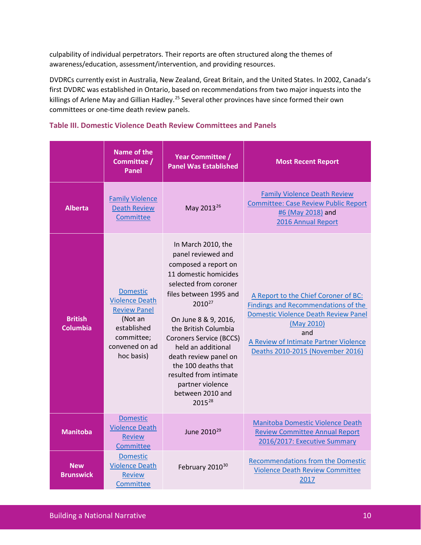culpability of individual perpetrators. Their reports are often structured along the themes of awareness/education, assessment/intervention, and providing resources.

DVDRCs currently exist in Australia, New Zealand, Great Britain, and the United States. In 2002, Canada's first DVDRC was established in Ontario, based on recommendations from two major inquests into the killings of Arlene May and Gillian Hadley.<sup>[25](#page-21-2)</sup> Several other provinces have since formed their own committees or one-time death review panels.

### **Table III. Domestic Violence Death Review Committees and Panels**

|                                   | <b>Name of the</b><br>Committee /<br>Panel                                                                                              | <b>Year Committee /</b><br><b>Panel Was Established</b>                                                                                                                                                                                                                                                                                                                                                | <b>Most Recent Report</b>                                                                                                                                                                                                    |
|-----------------------------------|-----------------------------------------------------------------------------------------------------------------------------------------|--------------------------------------------------------------------------------------------------------------------------------------------------------------------------------------------------------------------------------------------------------------------------------------------------------------------------------------------------------------------------------------------------------|------------------------------------------------------------------------------------------------------------------------------------------------------------------------------------------------------------------------------|
| <b>Alberta</b>                    | <b>Family Violence</b><br><b>Death Review</b><br>Committee                                                                              | May 2013 <sup>26</sup>                                                                                                                                                                                                                                                                                                                                                                                 | <b>Family Violence Death Review</b><br><b>Committee: Case Review Public Report</b><br>#6 (May 2018) and<br>2016 Annual Report                                                                                                |
| <b>British</b><br><b>Columbia</b> | <b>Domestic</b><br><b>Violence Death</b><br><b>Review Panel</b><br>(Not an<br>established<br>committee;<br>convened on ad<br>hoc basis) | In March 2010, the<br>panel reviewed and<br>composed a report on<br>11 domestic homicides<br>selected from coroner<br>files between 1995 and<br>2010 <sup>27</sup><br>On June 8 & 9, 2016,<br>the British Columbia<br><b>Coroners Service (BCCS)</b><br>held an additional<br>death review panel on<br>the 100 deaths that<br>resulted from intimate<br>partner violence<br>between 2010 and<br>201528 | A Report to the Chief Coroner of BC:<br>Findings and Recommendations of the<br><b>Domestic Violence Death Review Panel</b><br>(May 2010)<br>and<br>A Review of Intimate Partner Violence<br>Deaths 2010-2015 (November 2016) |
| <b>Manitoba</b>                   | <b>Domestic</b><br><b>Violence Death</b><br><b>Review</b><br>Committee                                                                  | June 2010 <sup>29</sup>                                                                                                                                                                                                                                                                                                                                                                                | Manitoba Domestic Violence Death<br><b>Review Committee Annual Report</b><br>2016/2017: Executive Summary                                                                                                                    |
| <b>New</b><br><b>Brunswick</b>    | <b>Domestic</b><br><b>Violence Death</b><br><b>Review</b><br>Committee                                                                  | February 2010 <sup>30</sup>                                                                                                                                                                                                                                                                                                                                                                            | <b>Recommendations from the Domestic</b><br><b>Violence Death Review Committee</b><br>2017                                                                                                                                   |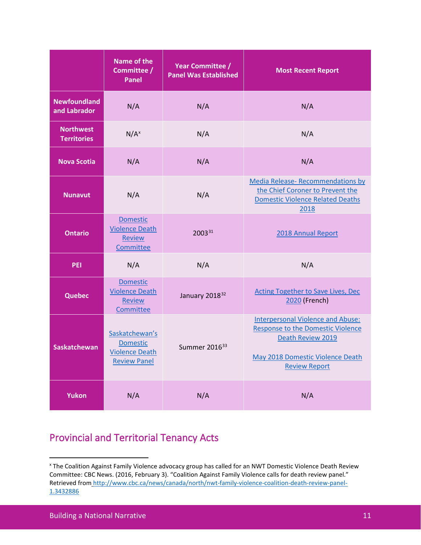|                                        | <b>Name of the</b><br>Committee /<br>Panel                                        | <b>Year Committee /</b><br><b>Panel Was Established</b> | <b>Most Recent Report</b>                                                                                                                                             |
|----------------------------------------|-----------------------------------------------------------------------------------|---------------------------------------------------------|-----------------------------------------------------------------------------------------------------------------------------------------------------------------------|
| <b>Newfoundland</b><br>and Labrador    | N/A                                                                               | N/A                                                     | N/A                                                                                                                                                                   |
| <b>Northwest</b><br><b>Territories</b> | $N/A^x$                                                                           | N/A                                                     | N/A                                                                                                                                                                   |
| <b>Nova Scotia</b>                     | N/A                                                                               | N/A                                                     | N/A                                                                                                                                                                   |
| <b>Nunavut</b>                         | N/A                                                                               | N/A                                                     | Media Release- Recommendations by<br>the Chief Coroner to Prevent the<br><b>Domestic Violence Related Deaths</b><br>2018                                              |
| <b>Ontario</b>                         | <b>Domestic</b><br><b>Violence Death</b><br><b>Review</b><br>Committee            | 200331                                                  | 2018 Annual Report                                                                                                                                                    |
| <b>PEI</b>                             | N/A                                                                               | N/A                                                     | N/A                                                                                                                                                                   |
| <b>Quebec</b>                          | <b>Domestic</b><br><b>Violence Death</b><br><b>Review</b><br>Committee            | January 2018 <sup>32</sup>                              | <b>Acting Together to Save Lives, Dec</b><br>2020 (French)                                                                                                            |
| <b>Saskatchewan</b>                    | Saskatchewan's<br><b>Domestic</b><br><b>Violence Death</b><br><b>Review Panel</b> | Summer 2016 <sup>33</sup>                               | <b>Interpersonal Violence and Abuse:</b><br><b>Response to the Domestic Violence</b><br>Death Review 2019<br>May 2018 Domestic Violence Death<br><b>Review Report</b> |
| <b>Yukon</b>                           | N/A                                                                               | N/A                                                     | N/A                                                                                                                                                                   |

# Provincial and Territorial Tenancy Acts

<span id="page-13-0"></span><sup>x</sup> The Coalition Against Family Violence advocacy group has called for an NWT Domestic Violence Death Review Committee: CBC News. (2016, February 3). "Coalition Against Family Violence calls for death review panel." Retrieved from [http://www.cbc.ca/news/canada/north/nwt-family-violence-coalition-death-review-panel-](http://www.cbc.ca/news/canada/north/nwt-family-violence-coalition-death-review-panel-1.3432886)[1.3432886](http://www.cbc.ca/news/canada/north/nwt-family-violence-coalition-death-review-panel-1.3432886)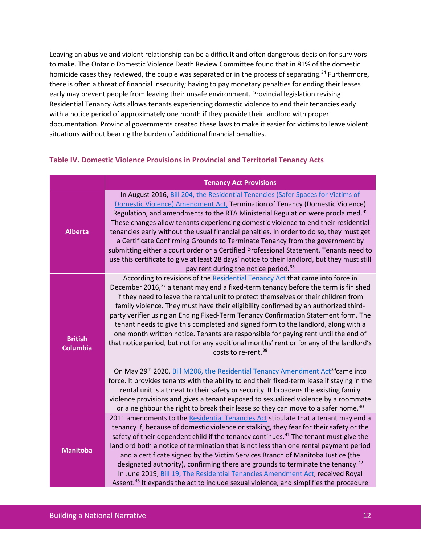Leaving an abusive and violent relationship can be a difficult and often dangerous decision for survivors to make. The Ontario Domestic Violence Death Review Committee found that in 81% of the domestic homicide cases they reviewed, the couple was separated or in the process of separating.<sup>[34](#page-21-11)</sup> Furthermore, there is often a threat of financial insecurity; having to pay monetary penalties for ending their leases early may prevent people from leaving their unsafe environment. Provincial legislation revising Residential Tenancy Acts allows tenants experiencing domestic violence to end their tenancies early with a notice period of approximately one month if they provide their landlord with proper documentation. Provincial governments created these laws to make it easier for victims to leave violent situations without bearing the burden of additional financial penalties.

### **Table IV. Domestic Violence Provisions in Provincial and Territorial Tenancy Acts**

|                                   | <b>Tenancy Act Provisions</b>                                                                                                                                                                                                                                                                                                                                                                                                                                                                                                                                                                                                                                                                                                                                                   |
|-----------------------------------|---------------------------------------------------------------------------------------------------------------------------------------------------------------------------------------------------------------------------------------------------------------------------------------------------------------------------------------------------------------------------------------------------------------------------------------------------------------------------------------------------------------------------------------------------------------------------------------------------------------------------------------------------------------------------------------------------------------------------------------------------------------------------------|
| <b>Alberta</b>                    | In August 2016, Bill 204, the Residential Tenancies (Safer Spaces for Victims of<br>Domestic Violence) Amendment Act, Termination of Tenancy (Domestic Violence)<br>Regulation, and amendments to the RTA Ministerial Regulation were proclaimed. <sup>35</sup><br>These changes allow tenants experiencing domestic violence to end their residential<br>tenancies early without the usual financial penalties. In order to do so, they must get<br>a Certificate Confirming Grounds to Terminate Tenancy from the government by<br>submitting either a court order or a Certified Professional Statement. Tenants need to<br>use this certificate to give at least 28 days' notice to their landlord, but they must still<br>pay rent during the notice period. <sup>36</sup> |
| <b>British</b><br><b>Columbia</b> | According to revisions of the Residential Tenancy Act that came into force in<br>December 2016, <sup>37</sup> a tenant may end a fixed-term tenancy before the term is finished<br>if they need to leave the rental unit to protect themselves or their children from<br>family violence. They must have their eligibility confirmed by an authorized third-<br>party verifier using an Ending Fixed-Term Tenancy Confirmation Statement form. The<br>tenant needs to give this completed and signed form to the landlord, along with a<br>one month written notice. Tenants are responsible for paying rent until the end of<br>that notice period, but not for any additional months' rent or for any of the landlord's<br>costs to re-rent. <sup>38</sup>                    |
|                                   | On May 29 <sup>th</sup> 2020, Bill M206, the Residential Tenancy Amendment Act <sup>39</sup> came into<br>force. It provides tenants with the ability to end their fixed-term lease if staying in the<br>rental unit is a threat to their safety or security. It broadens the existing family<br>violence provisions and gives a tenant exposed to sexualized violence by a roommate<br>or a neighbour the right to break their lease so they can move to a safer home. <sup>40</sup>                                                                                                                                                                                                                                                                                           |
| <b>Manitoba</b>                   | 2011 amendments to the Residential Tenancies Act stipulate that a tenant may end a<br>tenancy if, because of domestic violence or stalking, they fear for their safety or the<br>safety of their dependent child if the tenancy continues. <sup>41</sup> The tenant must give the<br>landlord both a notice of termination that is not less than one rental payment period<br>and a certificate signed by the Victim Services Branch of Manitoba Justice (the<br>designated authority), confirming there are grounds to terminate the tenancy. <sup>42</sup><br>In June 2019, Bill 19, The Residential Tenancies Amendment Act, received Royal<br>Assent. <sup>43</sup> It expands the act to include sexual violence, and simplifies the procedure                             |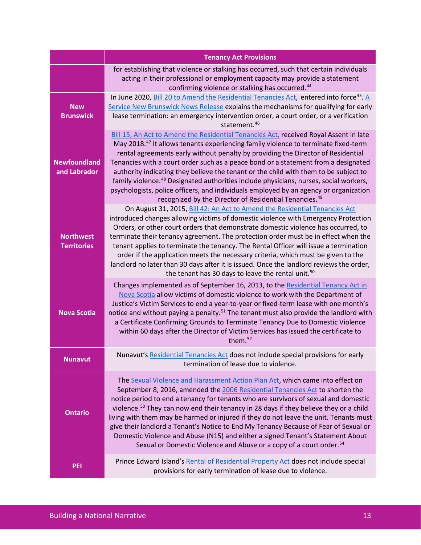|                                        | <b>Tenancy Act Provisions</b>                                                                                                                                                                                                                                                                                                                                                                                                                                                                                                                                                                                                                                                                                                 |
|----------------------------------------|-------------------------------------------------------------------------------------------------------------------------------------------------------------------------------------------------------------------------------------------------------------------------------------------------------------------------------------------------------------------------------------------------------------------------------------------------------------------------------------------------------------------------------------------------------------------------------------------------------------------------------------------------------------------------------------------------------------------------------|
|                                        | for establishing that violence or stalking has occurred, such that certain individuals<br>acting in their professional or employment capacity may provide a statement<br>confirming violence or stalking has occurred. <sup>44</sup>                                                                                                                                                                                                                                                                                                                                                                                                                                                                                          |
| <b>New</b><br><b>Brunswick</b>         | In June 2020, <b>Bill 20 to Amend the Residential Tenancies Act</b> , entered into force <sup>45</sup> . A<br>Service New Brunswick News Release explains the mechanisms for qualifying for early<br>lease termination: an emergency intervention order, a court order, or a verification<br>statement. <sup>46</sup>                                                                                                                                                                                                                                                                                                                                                                                                         |
| <b>Newfoundland</b><br>and Labrador    | Bill 15, An Act to Amend the Residential Tenancies Act, received Royal Assent in late<br>May 2018. <sup>47</sup> It allows tenants experiencing family violence to terminate fixed-term<br>rental agreements early without penalty by providing the Director of Residential<br>Tenancies with a court order such as a peace bond or a statement from a designated<br>authority indicating they believe the tenant or the child with them to be subject to<br>family violence. <sup>48</sup> Designated authorities include physicians, nurses, social workers,<br>psychologists, police officers, and individuals employed by an agency or organization<br>recognized by the Director of Residential Tenancies. <sup>49</sup> |
| <b>Northwest</b><br><b>Territories</b> | On August 31, 2015, Bill 42: An Act to Amend the Residential Tenancies Act<br>introduced changes allowing victims of domestic violence with Emergency Protection<br>Orders, or other court orders that demonstrate domestic violence has occurred, to<br>terminate their tenancy agreement. The protection order must be in effect when the<br>tenant applies to terminate the tenancy. The Rental Officer will issue a termination<br>order if the application meets the necessary criteria, which must be given to the<br>landlord no later than 30 days after it is issued. Once the landlord reviews the order,<br>the tenant has 30 days to leave the rental unit. <sup>50</sup>                                         |
| <b>Nova Scotia</b>                     | Changes implemented as of September 16, 2013, to the Residential Tenancy Act in<br>Nova Scotia allow victims of domestic violence to work with the Department of<br>Justice's Victim Services to end a year-to-year or fixed-term lease with one month's<br>notice and without paying a penalty. <sup>51</sup> The tenant must also provide the landlord with<br>a Certificate Confirming Grounds to Terminate Tenancy Due to Domestic Violence<br>within 60 days after the Director of Victim Services has issued the certificate to<br>them. <sup>52</sup>                                                                                                                                                                  |
| <b>Nunavut</b>                         | Nunavut's Residential Tenancies Act does not include special provisions for early<br>termination of lease due to violence.                                                                                                                                                                                                                                                                                                                                                                                                                                                                                                                                                                                                    |
| <b>Ontario</b>                         | The Sexual Violence and Harassment Action Plan Act, which came into effect on<br>September 8, 2016, amended the 2006 Residential Tenancies Act to shorten the<br>notice period to end a tenancy for tenants who are survivors of sexual and domestic<br>violence. <sup>53</sup> They can now end their tenancy in 28 days if they believe they or a child<br>living with them may be harmed or injured if they do not leave the unit. Tenants must<br>give their landlord a Tenant's Notice to End My Tenancy Because of Fear of Sexual or<br>Domestic Violence and Abuse (N15) and either a signed Tenant's Statement About<br>Sexual or Domestic Violence and Abuse or a copy of a court order. <sup>54</sup>               |
| <b>PEI</b>                             | Prince Edward Island's Rental of Residential Property Act does not include special<br>provisions for early termination of lease due to violence.                                                                                                                                                                                                                                                                                                                                                                                                                                                                                                                                                                              |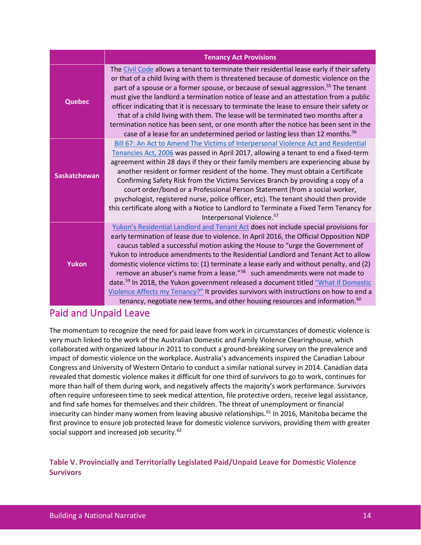|                     | <b>Tenancy Act Provisions</b>                                                                                                                                                                                                                                                                                                                                                                                                                                                                                                                                                                                                                                                                                                                                                                                                 |
|---------------------|-------------------------------------------------------------------------------------------------------------------------------------------------------------------------------------------------------------------------------------------------------------------------------------------------------------------------------------------------------------------------------------------------------------------------------------------------------------------------------------------------------------------------------------------------------------------------------------------------------------------------------------------------------------------------------------------------------------------------------------------------------------------------------------------------------------------------------|
| <b>Quebec</b>       | The Civil Code allows a tenant to terminate their residential lease early if their safety<br>or that of a child living with them is threatened because of domestic violence on the<br>part of a spouse or a former spouse, or because of sexual aggression. <sup>55</sup> The tenant<br>must give the landlord a termination notice of lease and an attestation from a public<br>officer indicating that it is necessary to terminate the lease to ensure their safety or<br>that of a child living with them. The lease will be terminated two months after a<br>termination notice has been sent, or one month after the notice has been sent in the<br>case of a lease for an undetermined period or lasting less than 12 months. <sup>56</sup>                                                                            |
| <b>Saskatchewan</b> | Bill 67: An Act to Amend The Victims of Interpersonal Violence Act and Residential<br>Tenancies Act, 2006 was passed in April 2017, allowing a tenant to end a fixed-term<br>agreement within 28 days if they or their family members are experiencing abuse by<br>another resident or former resident of the home. They must obtain a Certificate<br>Confirming Safety Risk from the Victims Services Branch by providing a copy of a<br>court order/bond or a Professional Person Statement (from a social worker,<br>psychologist, registered nurse, police officer, etc). The tenant should then provide<br>this certificate along with a Notice to Landlord to Terminate a Fixed Term Tenancy for<br>Interpersonal Violence. <sup>57</sup>                                                                               |
| <b>Yukon</b>        | Yukon's Residential Landlord and Tenant Act does not include special provisions for<br>early termination of lease due to violence. In April 2016, the Official Opposition NDP<br>caucus tabled a successful motion asking the House to "urge the Government of<br>Yukon to introduce amendments to the Residential Landlord and Tenant Act to allow<br>domestic violence victims to: (1) terminate a lease early and without penalty, and (2)<br>remove an abuser's name from a lease." <sup>58</sup> such amendments were not made to<br>date. <sup>59</sup> In 2018, the Yukon government released a document titled "What if Domestic<br>Violence Affects my Tenancy?" It provides survivors with instructions on how to end a<br>tenancy, negotiate new terms, and other housing resources and information. <sup>60</sup> |

### Paid and Unpaid Leave

The momentum to recognize the need for paid leave from work in circumstances of domestic violence is very much linked to the work of the Australian Domestic and Family Violence Clearinghouse, which collaborated with organized labour in 2011 to conduct a ground-breaking survey on the prevalence and impact of domestic violence on the workplace. Australia's advancements inspired the Canadian Labour Congress and University of Western Ontario to conduct a similar national survey in 2014. Canadian data revealed that domestic violence makes it difficult for one third of survivors to go to work, continues for more than half of them during work, and negatively affects the majority's work performance. Survivors often require unforeseen time to seek medical attention, file protective orders, receive legal assistance, and find safe homes for themselves and their children. The threat of unemployment or financial insecurity can hinder many women from leaving abusive relationships.<sup>[61](#page-22-18)</sup> In 2016, Manitoba became the first province to ensure job protected leave for domestic violence survivors, providing them with greater social support and increased job security.<sup>[62](#page-22-19)</sup>

**Table V. Provincially and Territorially Legislated Paid/Unpaid Leave for Domestic Violence Survivors**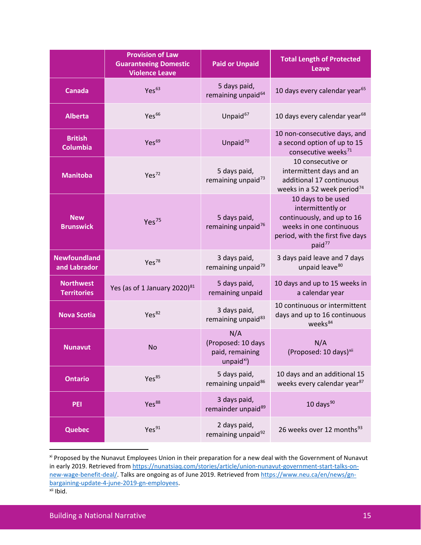|                                        | <b>Provision of Law</b><br><b>Guaranteeing Domestic</b><br><b>Violence Leave</b> | <b>Paid or Unpaid</b>                                                  | <b>Total Length of Protected</b><br><b>Leave</b>                                                                                                           |
|----------------------------------------|----------------------------------------------------------------------------------|------------------------------------------------------------------------|------------------------------------------------------------------------------------------------------------------------------------------------------------|
| <b>Canada</b>                          | Yes <sup>63</sup>                                                                | 5 days paid,<br>remaining unpaid <sup>64</sup>                         | 10 days every calendar year <sup>65</sup>                                                                                                                  |
| <b>Alberta</b>                         | Yes <sup>66</sup>                                                                | Unpaid <sup>67</sup>                                                   | 10 days every calendar year <sup>68</sup>                                                                                                                  |
| <b>British</b><br><b>Columbia</b>      | Yes <sup>69</sup>                                                                | Unpaid <sup>70</sup>                                                   | 10 non-consecutive days, and<br>a second option of up to 15<br>consecutive weeks <sup>71</sup>                                                             |
| <b>Manitoba</b>                        | Yes <sup>72</sup>                                                                | 5 days paid,<br>remaining unpaid <sup>73</sup>                         | 10 consecutive or<br>intermittent days and an<br>additional 17 continuous<br>weeks in a 52 week period <sup>74</sup>                                       |
| <b>New</b><br><b>Brunswick</b>         | Yes <sup>75</sup>                                                                | 5 days paid,<br>remaining unpaid <sup>76</sup>                         | 10 days to be used<br>intermittently or<br>continuously, and up to 16<br>weeks in one continuous<br>period, with the first five days<br>paid <sup>77</sup> |
| <b>Newfoundland</b><br>and Labrador    | Yes <sup>78</sup>                                                                | 3 days paid,<br>remaining unpaid <sup>79</sup>                         | 3 days paid leave and 7 days<br>unpaid leave <sup>80</sup>                                                                                                 |
| <b>Northwest</b><br><b>Territories</b> | Yes (as of 1 January 2020) $81$                                                  | 5 days paid,<br>remaining unpaid                                       | 10 days and up to 15 weeks in<br>a calendar year                                                                                                           |
| <b>Nova Scotia</b>                     | Yes <sup>82</sup>                                                                | 3 days paid,<br>remaining unpaid <sup>83</sup>                         | 10 continuous or intermittent<br>days and up to 16 continuous<br>weeks <sup>84</sup>                                                                       |
| <b>Nunavut</b>                         | <b>No</b>                                                                        | N/A<br>(Proposed: 10 days<br>paid, remaining<br>unpaid <sup>xi</sup> ) | N/A<br>(Proposed: 10 days) <sup>xii</sup>                                                                                                                  |
| <b>Ontario</b>                         | Yes <sup>85</sup>                                                                | 5 days paid,<br>remaining unpaid <sup>86</sup>                         | 10 days and an additional 15<br>weeks every calendar year <sup>87</sup>                                                                                    |
| PEI                                    | Yes <sup>88</sup>                                                                | 3 days paid,<br>remainder unpaid <sup>89</sup>                         | 10 days $90$                                                                                                                                               |
| <b>Quebec</b>                          | Yes <sup>91</sup>                                                                | 2 days paid,<br>remaining unpaid <sup>92</sup>                         | 26 weeks over 12 months <sup>93</sup>                                                                                                                      |

<span id="page-17-1"></span><span id="page-17-0"></span>xi Proposed by the Nunavut Employees Union in their preparation for a new deal with the Government of Nunavut in early 2019. Retrieved from [https://nunatsiaq.com/stories/article/union-nunavut-government-start-talks-on](https://nunatsiaq.com/stories/article/union-nunavut-government-start-talks-on-new-wage-benefit-deal/)[new-wage-benefit-deal/.](https://nunatsiaq.com/stories/article/union-nunavut-government-start-talks-on-new-wage-benefit-deal/) Talks are ongoing as of June 2019. Retrieved fro[m https://www.neu.ca/en/news/gn](https://www.neu.ca/en/news/gn-bargaining-update-4-june-2019-gn-employees)[bargaining-update-4-june-2019-gn-employees.](https://www.neu.ca/en/news/gn-bargaining-update-4-june-2019-gn-employees) xii Ibid.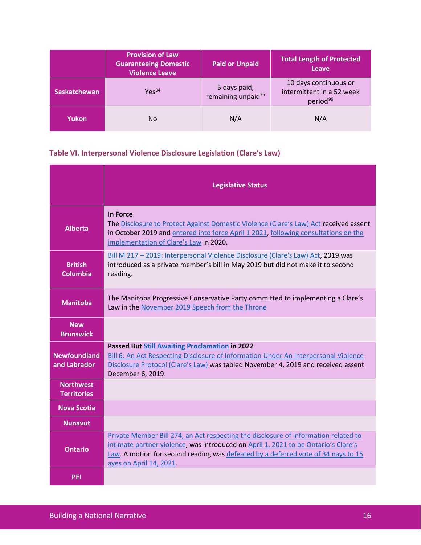|                     | <b>Provision of Law</b><br><b>Guaranteeing Domestic</b><br><b>Violence Leave</b> | <b>Paid or Unpaid</b>                          | <b>Total Length of Protected</b><br><b>Leave</b>                           |
|---------------------|----------------------------------------------------------------------------------|------------------------------------------------|----------------------------------------------------------------------------|
| <b>Saskatchewan</b> | Yes <sup>94</sup>                                                                | 5 days paid,<br>remaining unpaid <sup>95</sup> | 10 days continuous or<br>intermittent in a 52 week<br>period <sup>96</sup> |
| Yukon               | No                                                                               | N/A                                            | N/A                                                                        |

# **Table VI. Interpersonal Violence Disclosure Legislation (Clare's Law)**

|                                        | <b>Legislative Status</b>                                                                                                                                                                                                                                                                 |
|----------------------------------------|-------------------------------------------------------------------------------------------------------------------------------------------------------------------------------------------------------------------------------------------------------------------------------------------|
| <b>Alberta</b>                         | <b>In Force</b><br>The Disclosure to Protect Against Domestic Violence (Clare's Law) Act received assent<br>in October 2019 and entered into force April 1 2021, following consultations on the<br>implementation of Clare's Law in 2020.                                                 |
| <b>British</b><br><b>Columbia</b>      | Bill M 217 - 2019: Interpersonal Violence Disclosure (Clare's Law) Act, 2019 was<br>introduced as a private member's bill in May 2019 but did not make it to second<br>reading.                                                                                                           |
| <b>Manitoba</b>                        | The Manitoba Progressive Conservative Party committed to implementing a Clare's<br>Law in the November 2019 Speech from the Throne                                                                                                                                                        |
| <b>New</b><br><b>Brunswick</b>         |                                                                                                                                                                                                                                                                                           |
| <b>Newfoundland</b><br>and Labrador    | <b>Passed But Still Awaiting Proclamation in 2022</b><br>Bill 6: An Act Respecting Disclosure of Information Under An Interpersonal Violence<br>Disclosure Protocol (Clare's Law) was tabled November 4, 2019 and received assent<br>December 6, 2019.                                    |
| <b>Northwest</b><br><b>Territories</b> |                                                                                                                                                                                                                                                                                           |
| <b>Nova Scotia</b>                     |                                                                                                                                                                                                                                                                                           |
| <b>Nunavut</b>                         |                                                                                                                                                                                                                                                                                           |
| <b>Ontario</b>                         | Private Member Bill 274, an Act respecting the disclosure of information related to<br>intimate partner violence, was introduced on April 1, 2021 to be Ontario's Clare's<br>Law. A motion for second reading was defeated by a deferred vote of 34 nays to 15<br>ayes on April 14, 2021. |
| <b>PEI</b>                             |                                                                                                                                                                                                                                                                                           |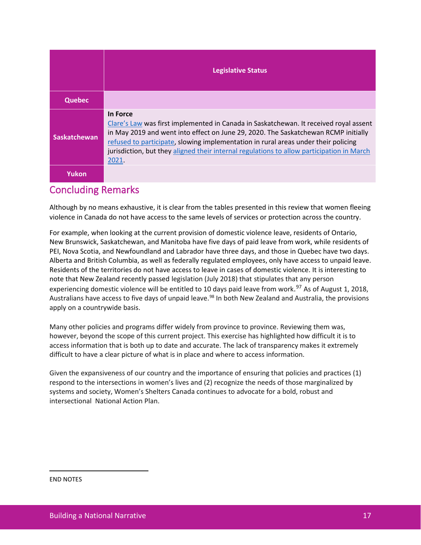|                     | <b>Legislative Status</b>                                                                                                                                                                                                                                                                                                                                                           |
|---------------------|-------------------------------------------------------------------------------------------------------------------------------------------------------------------------------------------------------------------------------------------------------------------------------------------------------------------------------------------------------------------------------------|
| <b>Quebec</b>       |                                                                                                                                                                                                                                                                                                                                                                                     |
| <b>Saskatchewan</b> | In Force<br>Clare's Law was first implemented in Canada in Saskatchewan. It received royal assent<br>in May 2019 and went into effect on June 29, 2020. The Saskatchewan RCMP initially<br>refused to participate, slowing implementation in rural areas under their policing<br>jurisdiction, but they aligned their internal regulations to allow participation in March<br>2021. |
| Yukon               |                                                                                                                                                                                                                                                                                                                                                                                     |

### Concluding Remarks

Although by no means exhaustive, it is clear from the tables presented in this review that women fleeing violence in Canada do not have access to the same levels of services or protection across the country.

For example, when looking at the current provision of domestic violence leave, residents of Ontario, New Brunswick, Saskatchewan, and Manitoba have five days of paid leave from work, while residents of PEI, Nova Scotia, and Newfoundland and Labrador have three days, and those in Quebec have two days. Alberta and British Columbia, as well as federally regulated employees, only have access to unpaid leave. Residents of the territories do not have access to leave in cases of domestic violence. It is interesting to note that New Zealand recently passed legislation (July 2018) that stipulates that any person experiencing domestic violence will be entitled to 10 days paid leave from work.<sup>[97](#page-24-2)</sup> As of August 1, 2018, Australians have access to five days of unpaid leave.<sup>[98](#page-24-3)</sup> In both New Zealand and Australia, the provisions apply on a countrywide basis.

Many other policies and programs differ widely from province to province. Reviewing them was, however, beyond the scope of this current project. This exercise has highlighted how difficult it is to access information that is both up to date and accurate. The lack of transparency makes it extremely difficult to have a clear picture of what is in place and where to access information.

Given the expansiveness of our country and the importance of ensuring that policies and practices (1) respond to the intersections in women's lives and (2) recognize the needs of those marginalized by systems and society, Women's Shelters Canada continues to advocate for a bold, robust and intersectional National Action Plan.

<span id="page-19-0"></span>END NOTES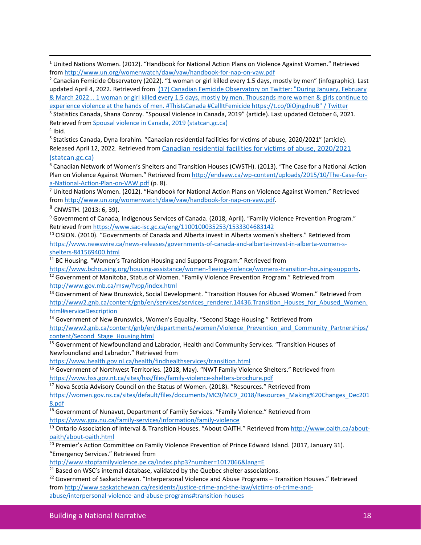$1$  United Nations Women. (2012). "Handbook for National Action Plans on Violence Against Women." Retrieved from<http://www.un.org/womenwatch/daw/vaw/handbook-for-nap-on-vaw.pdf>

<span id="page-20-0"></span><sup>2</sup> Canadian Femicide Observatory (2022). "1 woman or girl killed every 1.5 days, mostly by men" (infographic). Last updated April 4, 2022. Retrieved from [\(17\) Canadian Femicide Observatory on Twitter: "During January, February](https://twitter.com/CAN_Femicide/status/1511015056997326855/photo/1)  [& March 2022... 1 woman or girl killed every 1.5 days, mostly by men. Thousands more women & girls continue to](https://twitter.com/CAN_Femicide/status/1511015056997326855/photo/1)  [experience violence at the hands of men. #ThisIsCanada #CallItFemicide https://t.co/0iOjngdnuB" / Twitter](https://twitter.com/CAN_Femicide/status/1511015056997326855/photo/1) <sup>3</sup> Statistics Canada, Shana Conroy. "Spousal Violence in Canada, 2019" (article). Last updated October 6, 2021. Retrieved from [Spousal violence in Canada, 2019 \(statcan.gc.ca\)](https://www150.statcan.gc.ca/n1/pub/85-002-x/2021001/article/00016-eng.htm)

<span id="page-20-2"></span><span id="page-20-1"></span> $4$  Ibid.

<span id="page-20-3"></span><sup>5</sup> Statistics Canada, Dyna Ibrahim. "Canadian residential facilities for victims of abuse, 2020/2021" (article). Released April 12, 2022. Retrieved from [Canadian residential facilities for victims of abuse, 2020/2021](https://www150.statcan.gc.ca/n1/pub/85-002-x/2022001/article/00006-eng.htm) 

[\(statcan.gc.ca\)](https://www150.statcan.gc.ca/n1/pub/85-002-x/2022001/article/00006-eng.htm)

<span id="page-20-4"></span><sup>6</sup> Canadian Network of Women's Shelters and Transition Houses (CWSTH). (2013). "The Case for a National Action Plan on Violence Against Women." Retrieved from [http://endvaw.ca/wp-content/uploads/2015/10/The-Case-for](http://endvaw.ca/wp-content/uploads/2015/10/The-Case-for-a-National-Action-Plan-on-VAW.pdf)[a-National-Action-Plan-on-VAW.pdf](http://endvaw.ca/wp-content/uploads/2015/10/The-Case-for-a-National-Action-Plan-on-VAW.pdf) (p. 8).

<span id="page-20-5"></span><sup>7</sup> United Nations Women. (2012). "Handbook for National Action Plans on Violence Against Women." Retrieved from [http://www.un.org/womenwatch/daw/vaw/handbook-for-nap-on-vaw.pdf.](http://www.un.org/womenwatch/daw/vaw/handbook-for-nap-on-vaw.pdf)

<span id="page-20-6"></span><sup>8</sup> CNWSTH. (2013: 6, 39).

<span id="page-20-7"></span><sup>9</sup> Government of Canada, Indigenous Services of Canada. (2018, April). "Family Violence Prevention Program." Retrieved fro[m https://www.sac-isc.gc.ca/eng/1100100035253/1533304683142](https://www.sac-isc.gc.ca/eng/1100100035253/1533304683142)

<span id="page-20-8"></span><sup>10</sup> CISION. (2010). "Governments of Canada and Alberta invest in Alberta women's shelters." Retrieved from [https://www.newswire.ca/news-releases/governments-of-canada-and-alberta-invest-in-alberta-women-s](https://www.newswire.ca/news-releases/governments-of-canada-and-alberta-invest-in-alberta-women-s-shelters-841569400.html)[shelters-841569400.html](https://www.newswire.ca/news-releases/governments-of-canada-and-alberta-invest-in-alberta-women-s-shelters-841569400.html)

<span id="page-20-9"></span><sup>11</sup> BC Housing. "Women's Transition Housing and Supports Program." Retrieved from

[https://www.bchousing.org/housing-assistance/women-fleeing-violence/womens-transition-housing-supports.](https://www.bchousing.org/housing-assistance/women-fleeing-violence/womens-transition-housing-supports)

<span id="page-20-10"></span><sup>12</sup> Government of Manitoba, Status of Women. "Family Violence Prevention Program." Retrieved from <http://www.gov.mb.ca/msw/fvpp/index.html>

<span id="page-20-11"></span><sup>13</sup> Government of New Brunswick, Social Development. "Transition Houses for Abused Women." Retrieved from [http://www2.gnb.ca/content/gnb/en/services/services\\_renderer.14436.Transition\\_Houses\\_for\\_Abused\\_Women.](http://www2.gnb.ca/content/gnb/en/services/services_renderer.14436.Transition_Houses_for_Abused_Women.html#serviceDescription) html#serviceDescription<br><sup>14</sup> Government of New Brunswick, Women's Equality. "Second Stage Housing." Retrieved from

<span id="page-20-12"></span>

[http://www2.gnb.ca/content/gnb/en/departments/women/Violence\\_Prevention\\_and\\_Community\\_Partnerships/](http://www2.gnb.ca/content/gnb/en/departments/women/Violence_Prevention_and_Community_Partnerships/content/Second_Stage_Housing.html) [content/Second\\_Stage\\_Housing.html](http://www2.gnb.ca/content/gnb/en/departments/women/Violence_Prevention_and_Community_Partnerships/content/Second_Stage_Housing.html)

<span id="page-20-13"></span><sup>15</sup> Government of Newfoundland and Labrador, Health and Community Services. "Transition Houses of Newfoundland and Labrador." Retrieved from

<https://www.health.gov.nl.ca/health/findhealthservices/transition.html>

<span id="page-20-14"></span><sup>16</sup> Government of Northwest Territories. (2018, May). "NWT Family Violence Shelters." Retrieved from <https://www.hss.gov.nt.ca/sites/hss/files/family-violence-shelters-brochure.pdf>

<span id="page-20-15"></span><sup>17</sup> Nova Scotia Advisory Council on the Status of Women. (2018). "Resources." Retrieved from

[https://women.gov.ns.ca/sites/default/files/documents/MC9/MC9\\_2018/Resources\\_Making%20Changes\\_Dec201](https://women.gov.ns.ca/sites/default/files/documents/MC9/MC9_2018/Resources_Making%20Changes_Dec2018.pdf) [8.pdf](https://women.gov.ns.ca/sites/default/files/documents/MC9/MC9_2018/Resources_Making%20Changes_Dec2018.pdf)

<span id="page-20-16"></span><sup>18</sup> Government of Nunavut, Department of Family Services. "Family Violence." Retrieved from <https://www.gov.nu.ca/family-services/information/family-violence>

<span id="page-20-17"></span><sup>19</sup> Ontario Association of Interval & Transition Houses. "About OAITH." Retrieved from [http://www.oaith.ca/about](http://www.oaith.ca/about-oaith/about-oaith.html)[oaith/about-oaith.html](http://www.oaith.ca/about-oaith/about-oaith.html)

<span id="page-20-18"></span><sup>20</sup> Premier's Action Committee on Family Violence Prevention of Prince Edward Island. (2017, January 31). "Emergency Services." Retrieved from

<http://www.stopfamilyviolence.pe.ca/index.php3?number=1017066&lang=E>

<span id="page-20-20"></span><span id="page-20-19"></span><sup>21</sup> Based on WSC's internal database, validated by the Quebec shelter associations.<br><sup>22</sup> Government of Saskatchewan. "Interpersonal Violence and Abuse Programs – Transition Houses." Retrieved from [http://www.saskatchewan.ca/residents/justice-crime-and-the-law/victims-of-crime-and](http://www.saskatchewan.ca/residents/justice-crime-and-the-law/victims-of-crime-and-abuse/interpersonal-violence-and-abuse-programs#transition-houses)[abuse/interpersonal-violence-and-abuse-programs#transition-houses](http://www.saskatchewan.ca/residents/justice-crime-and-the-law/victims-of-crime-and-abuse/interpersonal-violence-and-abuse-programs#transition-houses)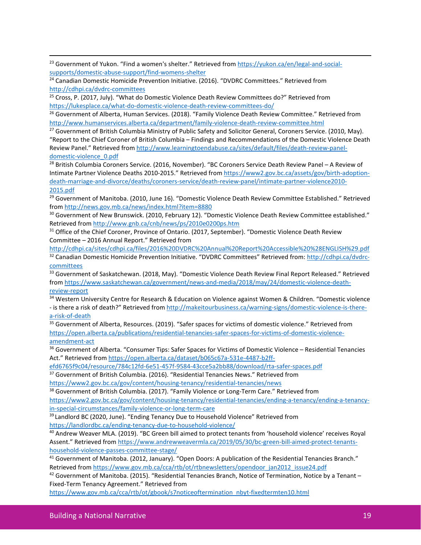<span id="page-21-0"></span><sup>23</sup> Government of Yukon. "Find a women's shelter." Retrieved from [https://yukon.ca/en/legal-and-social](https://yukon.ca/en/legal-and-social-supports/domestic-abuse-support/find-womens-shelter)[supports/domestic-abuse-support/find-womens-shelter](https://yukon.ca/en/legal-and-social-supports/domestic-abuse-support/find-womens-shelter)

<span id="page-21-1"></span><sup>24</sup> Canadian Domestic Homicide Prevention Initiative. (2016). "DVDRC Committees." Retrieved from <http://cdhpi.ca/dvdrc-committees>

<span id="page-21-2"></span><sup>25</sup> Cross, P. (2017, July). "What do Domestic Violence Death Review Committees do?" Retrieved from <https://lukesplace.ca/what-do-domestic-violence-death-review-committees-do/>

<span id="page-21-3"></span><sup>26</sup> Government of Alberta, Human Services. (2018). "Family Violence Death Review Committee." Retrieved from <http://www.humanservices.alberta.ca/department/family-violence-death-review-committee.html>

<span id="page-21-4"></span><sup>27</sup> Government of British Columbia Ministry of Public Safety and Solicitor General, Coroners Service. (2010, May). "Report to the Chief Coroner of British Columbia – Findings and Recommendations of the Domestic Violence Death Review Panel." Retrieved fro[m http://www.learningtoendabuse.ca/sites/default/files/death-review-panel](http://www.learningtoendabuse.ca/sites/default/files/death-review-panel-domestic-violence_0.pdf)[domestic-violence\\_0.pdf](http://www.learningtoendabuse.ca/sites/default/files/death-review-panel-domestic-violence_0.pdf)

<span id="page-21-5"></span><sup>28</sup> British Columbia Coroners Service. (2016, November). "BC Coroners Service Death Review Panel - A Review of Intimate Partner Violence Deaths 2010-2015." Retrieved from https://www2.gov.bc.ca/assets/gov/birth-adoptiondeath-marriage-and-divorce/deaths/coroners-service/death-review-panel/intimate-partner-violence2010- 2015.pdf

<span id="page-21-6"></span><sup>29</sup> Government of Manitoba. (2010, June 16). "Domestic Violence Death Review Committee Established." Retrieved from<http://news.gov.mb.ca/news/index.html?item=8880>

<span id="page-21-7"></span><sup>30</sup> Government of New Brunswick. (2010, February 12). "Domestic Violence Death Review Committee established." Retrieved fro[m http://www.gnb.ca/cnb/news/ps/2010e0200ps.htm](http://www.gnb.ca/cnb/news/ps/2010e0200ps.htm)

<span id="page-21-8"></span><sup>31</sup> Office of the Chief Coroner, Province of Ontario. (2017, September). "Domestic Violence Death Review Committee – 2016 Annual Report." Retrieved from

<span id="page-21-9"></span><http://cdhpi.ca/sites/cdhpi.ca/files/2016%20DVDRC%20Annual%20Report%20Accessible%20%28ENGLISH%29.pdf> 32 Canadian Domestic Homicide Prevention Initiative. "DVDRC Committees" Retrieved from[: http://cdhpi.ca/dvdrc](http://cdhpi.ca/dvdrc-committees)[committees](http://cdhpi.ca/dvdrc-committees)

<span id="page-21-10"></span><sup>33</sup> Government of Saskatchewan. (2018, May). "Domestic Violence Death Review Final Report Released." Retrieved from [https://www.saskatchewan.ca/government/news-and-media/2018/may/24/domestic-violence-death](https://www.saskatchewan.ca/government/news-and-media/2018/may/24/domestic-violence-death-review-report)[review-report](https://www.saskatchewan.ca/government/news-and-media/2018/may/24/domestic-violence-death-review-report)

<span id="page-21-11"></span><sup>34</sup> Western University Centre for Research & Education on Violence against Women & Children. "Domestic violence - is there a risk of death?" Retrieved fro[m http://makeitourbusiness.ca/warning-signs/domestic-violence-is-there](http://makeitourbusiness.ca/warning-signs/domestic-violence-is-there-a-risk-of-death)[a-risk-of-death](http://makeitourbusiness.ca/warning-signs/domestic-violence-is-there-a-risk-of-death)

<span id="page-21-12"></span><sup>35</sup> Government of Alberta, Resources. (2019). "Safer spaces for victims of domestic violence." Retrieved from [https://open.alberta.ca/publications/residential-tenancies-safer-spaces-for-victims-of-domestic-violence](https://open.alberta.ca/publications/residential-tenancies-safer-spaces-for-victims-of-domestic-violence-amendment-act)[amendment-act](https://open.alberta.ca/publications/residential-tenancies-safer-spaces-for-victims-of-domestic-violence-amendment-act)

<span id="page-21-13"></span><sup>36</sup> Government of Alberta. "Consumer Tips: Safer Spaces for Victims of Domestic Violence – Residential Tenancies Act." Retrieved from [https://open.alberta.ca/dataset/b065c67a-531e-4487-b2ff-](https://open.alberta.ca/dataset/b065c67a-531e-4487-b2ff-efd6765f9c04/resource/784c12fd-6e51-457f-9584-43cce5a2bb88/download/rta-safer-spaces.pdf)

[efd6765f9c04/resource/784c12fd-6e51-457f-9584-43cce5a2bb88/download/rta-safer-spaces.pdf](https://open.alberta.ca/dataset/b065c67a-531e-4487-b2ff-efd6765f9c04/resource/784c12fd-6e51-457f-9584-43cce5a2bb88/download/rta-safer-spaces.pdf)

<span id="page-21-14"></span><sup>37</sup> Government of British Columbia. (2016). "Residential Tenancies News." Retrieved from <https://www2.gov.bc.ca/gov/content/housing-tenancy/residential-tenancies/news>

<span id="page-21-15"></span><sup>38</sup> Government of British Columbia. (2017). "Family Violence or Long-Term Care." Retrieved from [https://www2.gov.bc.ca/gov/content/housing-tenancy/residential-tenancies/ending-a-tenancy/ending-a-tenancy](https://www2.gov.bc.ca/gov/content/housing-tenancy/residential-tenancies/ending-a-tenancy/ending-a-tenancy-in-special-circumstances/family-violence-or-long-term-care)[in-special-circumstances/family-violence-or-long-term-care](https://www2.gov.bc.ca/gov/content/housing-tenancy/residential-tenancies/ending-a-tenancy/ending-a-tenancy-in-special-circumstances/family-violence-or-long-term-care)

<span id="page-21-16"></span><sup>39</sup> Landlord BC (2020, June). "Ending Tenancy Due to Household Violence" Retrieved from <https://landlordbc.ca/ending-tenancy-due-to-household-violence/>

<span id="page-21-17"></span><sup>40</sup> Andrew Weaver MLA. (2019). "BC Green bill aimed to protect tenants from 'household violence' receives Royal Assent." Retrieved fro[m https://www.andrewweavermla.ca/2019/05/30/bc-green-bill-aimed-protect-tenants](https://www.andrewweavermla.ca/2019/05/30/bc-green-bill-aimed-protect-tenants-household-violence-passes-committee-stage/)[household-violence-passes-committee-stage/](https://www.andrewweavermla.ca/2019/05/30/bc-green-bill-aimed-protect-tenants-household-violence-passes-committee-stage/)

<span id="page-21-18"></span><sup>41</sup> Government of Manitoba. (2012, January). "Open Doors: A publication of the Residential Tenancies Branch." Retrieved fro[m https://www.gov.mb.ca/cca/rtb/ot/rtbnewsletters/opendoor\\_jan2012\\_issue24.pdf](https://www.gov.mb.ca/cca/rtb/ot/rtbnewsletters/opendoor_jan2012_issue24.pdf)

<span id="page-21-19"></span> $42$  Government of Manitoba. (2015). "Residential Tenancies Branch, Notice of Termination, Notice by a Tenant – Fixed-Term Tenancy Agreement." Retrieved from

[https://www.gov.mb.ca/cca/rtb/ot/gbook/s7noticeoftermination\\_nbyt-fixedtermten10.html](https://www.gov.mb.ca/cca/rtb/ot/gbook/s7noticeoftermination_nbyt-fixedtermten10.html)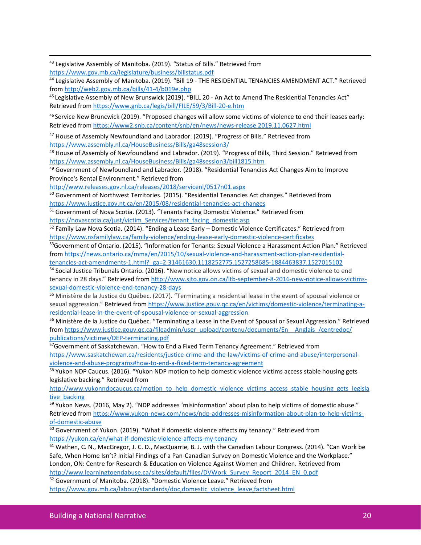<span id="page-22-0"></span><sup>43</sup> Legislative Assembly of Manitoba. (2019). "Status of Bills." Retrieved from <https://www.gov.mb.ca/legislature/business/billstatus.pdf>

<span id="page-22-1"></span><sup>44</sup> Legislative Assembly of Manitoba. (2019). "Bill 19 - THE RESIDENTIAL TENANCIES AMENDMENT ACT." Retrieved from<http://web2.gov.mb.ca/bills/41-4/b019e.php>

<span id="page-22-2"></span><sup>45</sup> Legislative Assembly of New Brunswick (2019). "BILL 20 - An Act to Amend The Residential Tenancies Act" Retrieved fro[m https://www.gnb.ca/legis/bill/FILE/59/3/Bill-20-e.htm](https://www.gnb.ca/legis/bill/FILE/59/3/Bill-20-e.htm)

<span id="page-22-3"></span><sup>46</sup> Service New Bruncwick (2019). "Proposed changes will allow some victims of violence to end their leases early: Retrieved fro[m https://www2.snb.ca/content/snb/en/news/news-release.2019.11.0627.html](https://www2.snb.ca/content/snb/en/news/news-release.2019.11.0627.html)

<span id="page-22-4"></span><sup>47</sup> House of Assembly Newfoundland and Labrador. (2019). "Progress of Bills." Retrieved from <https://www.assembly.nl.ca/HouseBusiness/Bills/ga48session3/>

<span id="page-22-5"></span>48 House of Assembly of Newfoundland and Labrador. (2019). "Progress of Bills, Third Session." Retrieved from <https://www.assembly.nl.ca/HouseBusiness/Bills/ga48session3/bill1815.htm>

<span id="page-22-6"></span>49 Government of Newfoundland and Labrador. (2018). "Residential Tenancies Act Changes Aim to Improve Province's Rental Environment." Retrieved from

<http://www.releases.gov.nl.ca/releases/2018/servicenl/0517n01.aspx>

<span id="page-22-7"></span><sup>50</sup> Government of Northwest Territories. (2015). "Residential Tenancies Act changes." Retrieved from https://www.justice.gov.nt.ca/en/2015/08/residential-tenancies-act-changes

<span id="page-22-8"></span><sup>51</sup> Government of Nova Scotia. (2013). "Tenants Facing Domestic Violence." Retrieved from [https://novascotia.ca/just/victim\\_Services/tenant\\_facing\\_domestic.asp](https://novascotia.ca/just/victim_Services/tenant_facing_domestic.asp)

<span id="page-22-9"></span><sup>52</sup> Family Law Nova Scotia. (2014). "Ending a Lease Early – Domestic Violence Certificates." Retrieved from https://www.nsfamilylaw.ca/family-violence/ending-lease-early-domestic-violence-certificates<br><sup>53</sup>Government of Ontario. (2015). "Information for Tenants: Sexual Violence a Harassment Action Plan." Retrieved

<span id="page-22-10"></span>from [https://news.ontario.ca/mma/en/2015/10/sexual-violence-and-harassment-action-plan-residential](https://news.ontario.ca/mma/en/2015/10/sexual-violence-and-harassment-action-plan-residential-tenancies-act-amendments-1.html?_ga=2.31461630.1118252775.1527258685-1884463837.1527015102)[tenancies-act-amendments-1.html?\\_ga=2.31461630.1118252775.1527258685-1884463837.1527015102](https://news.ontario.ca/mma/en/2015/10/sexual-violence-and-harassment-action-plan-residential-tenancies-act-amendments-1.html?_ga=2.31461630.1118252775.1527258685-1884463837.1527015102)

<span id="page-22-11"></span><sup>54</sup> Social Justice Tribunals Ontario. (2016). "New notice allows victims of sexual and domestic violence to end tenancy in 28 days." Retrieved from http://www.sjto.gov.on.ca/ltb-september-8-2016-new-notice-allows-victimssexual-domestic-violence-end-tenancy-28-days

<span id="page-22-12"></span><sup>55</sup> Ministère de la Justice du Québec. (2017). "Terminating a residential lease in the event of spousal violence or sexual aggression." Retrieved from https://www.justice.gouv.qc.ca/en/victims/domestic-violence/terminating-aresidential-lease-in-the-event-of-spousal-violence-or-sexual-aggression

<span id="page-22-13"></span><sup>56</sup> Ministère de la Justice du Québec. "Terminating a Lease in the Event of Spousal or Sexual Aggression." Retrieved from [https://www.justice.gouv.qc.ca/fileadmin/user\\_upload/contenu/documents/En\\_\\_Anglais\\_/centredoc/](https://www.justice.gouv.qc.ca/fileadmin/user_upload/contenu/documents/En__Anglais_/centredoc/publications/victimes/DEP-terminating.pdf) [publications/victimes/DEP-terminating.pdf](https://www.justice.gouv.qc.ca/fileadmin/user_upload/contenu/documents/En__Anglais_/centredoc/publications/victimes/DEP-terminating.pdf)

<span id="page-22-14"></span><sup>57</sup>Government of Saskatchewan. "How to End a Fixed Term Tenancy Agreement." Retrieved from [https://www.saskatchewan.ca/residents/justice-crime-and-the-law/victims-of-crime-and-abuse/interpersonal](https://www.saskatchewan.ca/residents/justice-crime-and-the-law/victims-of-crime-and-abuse/interpersonal-violence-and-abuse-programs#how-to-end-a-fixed-term-tenancy-agreement)[violence-and-abuse-programs#how-to-end-a-fixed-term-tenancy-agreement](https://www.saskatchewan.ca/residents/justice-crime-and-the-law/victims-of-crime-and-abuse/interpersonal-violence-and-abuse-programs#how-to-end-a-fixed-term-tenancy-agreement)

<span id="page-22-15"></span><sup>58</sup> Yukon NDP Caucus. (2016). "Yukon NDP motion to help domestic violence victims access stable housing gets legislative backing." Retrieved from

[http://www.yukonndpcaucus.ca/motion\\_to\\_help\\_domestic\\_violence\\_victims\\_access\\_stable\\_housing\\_gets\\_legisla](http://www.yukonndpcaucus.ca/motion_to_help_domestic_violence_victims_access_stable_housing_gets_legislative_backing) tive backing

<span id="page-22-16"></span><sup>59</sup> Yukon News. (2016, May 2). "NDP addresses 'misinformation' about plan to help victims of domestic abuse." Retrieved fro[m https://www.yukon-news.com/news/ndp-addresses-misinformation-about-plan-to-help-victims](https://www.yukon-news.com/news/ndp-addresses-misinformation-about-plan-to-help-victims-of-domestic-abuse)[of-domestic-abuse](https://www.yukon-news.com/news/ndp-addresses-misinformation-about-plan-to-help-victims-of-domestic-abuse)

<span id="page-22-17"></span><sup>60</sup> Government of Yukon. (2019). "What if domestic violence affects my tenancy." Retrieved from <https://yukon.ca/en/what-if-domestic-violence-affects-my-tenancy>

<span id="page-22-18"></span><sup>61</sup> Wathen, C. N., MacGregor, J. C. D., MacQuarrie, B. J. with the Canadian Labour Congress. (2014). "Can Work be Safe, When Home Isn't? Initial Findings of a Pan-Canadian Survey on Domestic Violence and the Workplace." London, ON: Centre for Research & Education on Violence Against Women and Children. Retrieved from [http://www.learningtoendabuse.ca/sites/default/files/DVWork\\_Survey\\_Report\\_2014\\_EN\\_0.pdf](http://www.learningtoendabuse.ca/sites/default/files/DVWork_Survey_Report_2014_EN_0.pdf)

<span id="page-22-19"></span><sup>62</sup> Government of Manitoba. (2018). "Domestic Violence Leave." Retrieved from [https://www.gov.mb.ca/labour/standards/doc,domestic\\_violence\\_leave,factsheet.html](https://www.gov.mb.ca/labour/standards/doc,domestic_violence_leave,factsheet.html)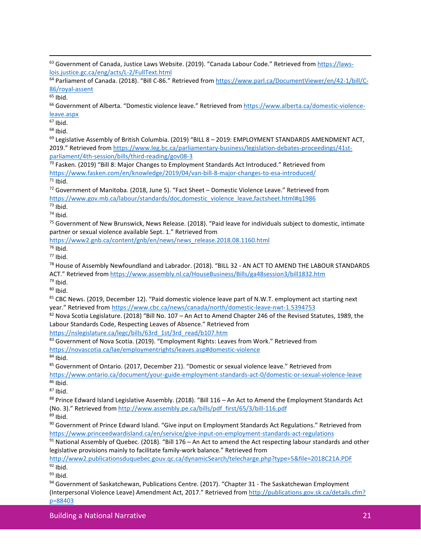<span id="page-23-0"></span><sup>63</sup> Government of Canada, Justice Laws Website. (2019). "Canada Labour Code." Retrieved from [https://laws](https://laws-lois.justice.gc.ca/eng/acts/L-2/FullText.html)[lois.justice.gc.ca/eng/acts/L-2/FullText.html](https://laws-lois.justice.gc.ca/eng/acts/L-2/FullText.html)

<span id="page-23-1"></span><sup>64</sup> Parliament of Canada. (2018). "Bill C-86." Retrieved from [https://www.parl.ca/DocumentViewer/en/42-1/bill/C](https://www.parl.ca/DocumentViewer/en/42-1/bill/C-86/royal-assent)86/royal-assent<br><sup>65</sup> Ibid.<br><sup>66</sup> Government of Alberta. "Domestic violence leave." Retrieved fro[m https://www.alberta.ca/domestic-violence-](https://www.alberta.ca/domestic-violence-leave.aspx)

<span id="page-23-2"></span>

<span id="page-23-3"></span>[leave.aspx](https://www.alberta.ca/domestic-violence-leave.aspx)

<span id="page-23-4"></span> $67$  Ibid.

<span id="page-23-6"></span><span id="page-23-5"></span> $^{68}$  Ibid.<br> $^{69}$  Legislative Assembly of British Columbia. (2019) "BILL 8 – 2019: EMPLOYMENT STANDARDS AMENDMENT ACT, 2019." Retrieved from [https://www.leg.bc.ca/parliamentary-business/legislation-debates-proceedings/41st](https://www.leg.bc.ca/parliamentary-business/legislation-debates-proceedings/41st-parliament/4th-session/bills/third-reading/gov08-3)[parliament/4th-session/bills/third-reading/gov08-3](https://www.leg.bc.ca/parliamentary-business/legislation-debates-proceedings/41st-parliament/4th-session/bills/third-reading/gov08-3)

<span id="page-23-7"></span> $70$  Fasken. (2019) "Bill 8: Major Changes to Employment Standards Act Introduced." Retrieved from <https://www.fasken.com/en/knowledge/2019/04/van-bill-8-major-changes-to-esa-introduced/> <sup>71</sup> Ibid.<br><sup>72</sup> Government of Manitoba. (2018, June 5). "Fact Sheet – Domestic Violence Leave." Retrieved from

<span id="page-23-9"></span><span id="page-23-8"></span>[https://www.gov.mb.ca/labour/standards/doc,domestic\\_violence\\_leave,factsheet.html#q1986](https://www.gov.mb.ca/labour/standards/doc,domestic_violence_leave,factsheet.html#q1986)

<span id="page-23-10"></span> $73$  Ibid.

<span id="page-23-11"></span> $74$  Ibid.

<span id="page-23-12"></span><sup>75</sup> Government of New Brunswick, News Release. (2018). "Paid leave for individuals subject to domestic, intimate partner or sexual violence available Sept. 1." Retrieved from

<span id="page-23-13"></span>[https://www2.gnb.ca/content/gnb/en/news/news\\_release.2018.08.1160.html](https://www2.gnb.ca/content/gnb/en/news/news_release.2018.08.1160.html)<br><sup>76</sup> Ibid.

<span id="page-23-15"></span><span id="page-23-14"></span> $^{77}$  Ibid.<br> $^{78}$  House of Assembly Newfoundland and Labrador. (2018). "BILL 32 - AN ACT TO AMEND THE LABOUR STANDARDS ACT." Retrieved fro[m https://www.assembly.nl.ca/HouseBusiness/Bills/ga48session3/bill1832.htm](https://www.assembly.nl.ca/HouseBusiness/Bills/ga48session3/bill1832.htm)

<span id="page-23-18"></span>

<span id="page-23-17"></span><span id="page-23-16"></span><sup>79</sup> Ibid.<br><sup>80</sup> Ibid.<br><sup>81</sup> CBC News. (2019, December 12). "Paid domestic violence leave part of N.W.T. employment act starting next year." Retrieved from <https://www.cbc.ca/news/canada/north/domestic-leave-nwt-1.5394753>

<span id="page-23-19"></span> $82$  Nova Scotia Legislature. (2018) "Bill No. 107 – An Act to Amend Chapter 246 of the Revised Statutes, 1989, the Labour Standards Code, Respecting Leaves of Absence." Retrieved from

[https://nslegislature.ca/legc/bills/63rd\\_1st/3rd\\_read/b107.htm](https://nslegislature.ca/legc/bills/63rd_1st/3rd_read/b107.htm)

<span id="page-23-20"></span>83 Government of Nova Scotia. (2019). "Employment Rights: Leaves from Work." Retrieved from <https://novascotia.ca/lae/employmentrights/leaves.asp#domestic-violence>

<span id="page-23-21"></span> $84$  Ibid.

<span id="page-23-22"></span><sup>85</sup> Government of Ontario. (2017, December 21). "Domestic or sexual violence leave." Retrieved from

<span id="page-23-23"></span><https://www.ontario.ca/document/your-guide-employment-standards-act-0/domestic-or-sexual-violence-leave> 86 Ibid.<br><sup>87</sup> Ibid.<br><sup>88</sup> Prince Edward Island Legislative Assembly. (2018). "Bill 116 – An Act to Amend the Employment Standards Act

<span id="page-23-25"></span><span id="page-23-24"></span>(No. 3)." Retrieved from [http://www.assembly.pe.ca/bills/pdf\\_first/65/3/bill-116.pdf](http://www.assembly.pe.ca/bills/pdf_first/65/3/bill-116.pdf)

<span id="page-23-26"></span> $89$  Ibid.

<span id="page-23-27"></span><sup>90</sup> Government of Prince Edward Island. "Give input on Employment Standards Act Regulations." Retrieved from <https://www.princeedwardisland.ca/en/service/give-input-on-employment-standards-act-regulations>

<span id="page-23-28"></span> $91$  National Assembly of Quebec. (2018). "Bill 176 – An Act to amend the Act respecting labour standards and other legislative provisions mainly to facilitate family-work balance." Retrieved from

<span id="page-23-29"></span>http://www2.publicationsduquebec.gouv.qc.ca/dynamicSearch/telecharge.php?type=5&file=2018C21A.PDF  $92$  Ibid.

<span id="page-23-30"></span> $93$  Ibid.

<span id="page-23-31"></span>94 Government of Saskatchewan, Publications Centre. (2017). "Chapter 31 - The Saskatchewan Employment (Interpersonal Violence Leave) Amendment Act, 2017." Retrieved from [http://publications.gov.sk.ca/details.cfm?](http://publications.gov.sk.ca/details.cfm?p=88403) [p=88403](http://publications.gov.sk.ca/details.cfm?p=88403)